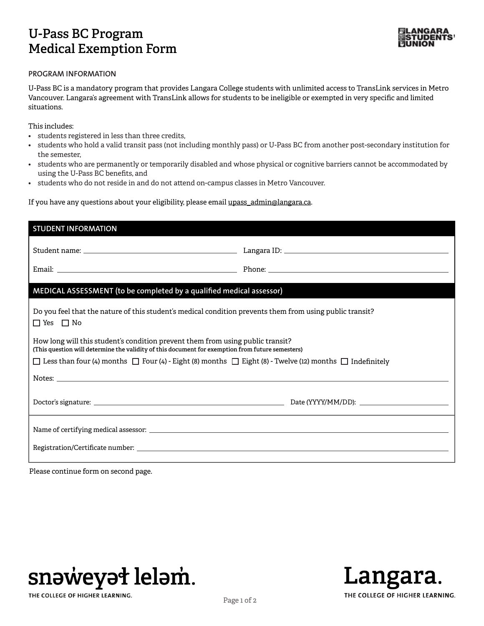## **U-Pass BC Program Medical Exemption Form**



## **PROGRAM INFORMATION**

U-Pass BC is a mandatory program that provides Langara College students with unlimited access to TransLink services in Metro Vancouver. Langara's agreement with TransLink allows for students to be ineligible or exempted in very specific and limited situations.

This includes:

- students registered in less than three credits,
- students who hold a valid transit pass (not including monthly pass) or U-Pass BC from another post-secondary institution for the semester,
- students who are permanently or temporarily disabled and whose physical or cognitive barriers cannot be accommodated by using the U-Pass BC benefits, and
- students who do not reside in and do not attend on-campus classes in Metro Vancouver.

If you have any questions about your eligibility, please email upass\_admin@langara.ca.

| <b>STUDENT INFORMATION</b>                                                                                                                                                         |  |
|------------------------------------------------------------------------------------------------------------------------------------------------------------------------------------|--|
|                                                                                                                                                                                    |  |
|                                                                                                                                                                                    |  |
| MEDICAL ASSESSMENT (to be completed by a qualified medical assessor)                                                                                                               |  |
| Do you feel that the nature of this student's medical condition prevents them from using public transit?<br>$\Box$ Yes $\Box$ No                                                   |  |
| How long will this student's condition prevent them from using public transit?<br>(This question will determine the validity of this document for exemption from future semesters) |  |
| □ Less than four (4) months □ Four (4) - Eight (8) months □ Eight (8) - Twelve (12) months □ Indefinitely                                                                          |  |
|                                                                                                                                                                                    |  |
|                                                                                                                                                                                    |  |
|                                                                                                                                                                                    |  |
|                                                                                                                                                                                    |  |
|                                                                                                                                                                                    |  |

Please continue form on second page.



THE COLLEGE OF HIGHER LEARNING.